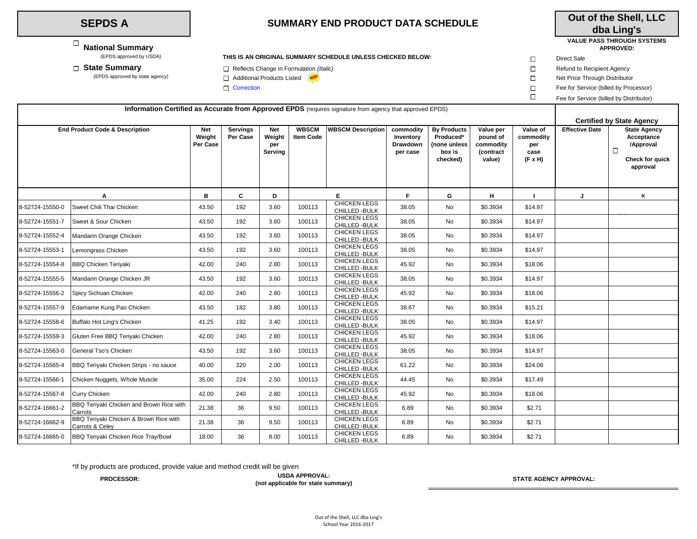## **SEPDS A**

 **National Summary** 

## **SUMMARY END PRODUCT DATA SCHEDULE**

## **Out of the Shell, LLC dba Ling's**

## **VALUE PASS THROUGH SYSTEMS APPROVED:**

**THIS IS AN ORIGINAL SUMMARY SCHEDULE UNLESS CHECKED BELOW:**  $\square$  Direct Sale

 $\Box$ 

**state Summary** and the reflects Change in Formulation *(Italic)* Refund to Recipient Agency<br>E Additional Products Listed **Refund to Refund to Refund to Refund to Refund to Refund to Additional Products Listed <b>Refund to** 

□ Additional Products Listed Net Proved by state agency) Additional Products Listed Net Price Through Distributor

 $\Box$  Correction  $\Box$  Fee for Service (billed by Processor)

Fee for Service (billed by Distributor)

| Information Certified as Accurate from Approved EPDS (requires signature from agency that approved EPDS) |                                                           |                                  |                             |                                        |                                  |                                       |                                                       |                                                                       |                                                           |                                                        |                       |                                                                                                |
|----------------------------------------------------------------------------------------------------------|-----------------------------------------------------------|----------------------------------|-----------------------------|----------------------------------------|----------------------------------|---------------------------------------|-------------------------------------------------------|-----------------------------------------------------------------------|-----------------------------------------------------------|--------------------------------------------------------|-----------------------|------------------------------------------------------------------------------------------------|
|                                                                                                          |                                                           |                                  |                             |                                        |                                  |                                       |                                                       |                                                                       |                                                           | <b>Certified by State Agency</b>                       |                       |                                                                                                |
|                                                                                                          | <b>End Product Code &amp; Description</b>                 | <b>Net</b><br>Weight<br>Per Case | <b>Servings</b><br>Per Case | <b>Net</b><br>Weight<br>per<br>Serving | <b>WBSCM</b><br><b>Item Code</b> | <b>WBSCM Description</b>              | commodity<br>Inventory<br><b>Drawdown</b><br>per case | <b>By Products</b><br>Produced*<br>(none unless<br>box is<br>checked) | Value per<br>pound of<br>commodity<br>(contract<br>value) | Value of<br>commodity<br>per<br>case<br>$(F \times H)$ | <b>Effective Date</b> | <b>State Agency</b><br>Acceptance<br>/Approval<br>$\Box$<br><b>Check for quick</b><br>approval |
|                                                                                                          | Α                                                         | в                                | C.                          | D                                      |                                  | E.                                    | F.                                                    | G                                                                     | н                                                         |                                                        |                       | Κ                                                                                              |
| 8-52724-15550-0                                                                                          | Sweet Chili Thai Chicken                                  | 43.50                            | 192                         | 3.60                                   | 100113                           | <b>CHICKEN LEGS</b><br>CHILLED - BULK | 38.05                                                 | No                                                                    | \$0.3934                                                  | \$14.97                                                |                       |                                                                                                |
| 8-52724-15551-7                                                                                          | Sweet & Sour Chicken                                      | 43.50                            | 192                         | 3.60                                   | 100113                           | <b>CHICKEN LEGS</b><br>CHILLED - BULK | 38.05                                                 | No                                                                    | \$0.3934                                                  | \$14.97                                                |                       |                                                                                                |
| 8-52724-15552-4                                                                                          | Mandarin Orange Chicken                                   | 43.50                            | 192                         | 3.60                                   | 100113                           | <b>CHICKEN LEGS</b><br>CHILLED - BULK | 38.05                                                 | No                                                                    | \$0.3934                                                  | \$14.97                                                |                       |                                                                                                |
| 8-52724-15553-1                                                                                          | Lemongrass Chicken                                        | 43.50                            | 192                         | 3.60                                   | 100113                           | <b>CHICKEN LEGS</b><br>CHILLED - BULK | 38.05                                                 | No                                                                    | \$0.3934                                                  | \$14.97                                                |                       |                                                                                                |
| 8-52724-15554-8                                                                                          | <b>BBQ Chicken Teriyaki</b>                               | 42.00                            | 240                         | 2.80                                   | 100113                           | <b>CHICKEN LEGS</b><br>CHILLED - BULK | 45.92                                                 | No                                                                    | \$0.3934                                                  | \$18.06                                                |                       |                                                                                                |
| 8-52724-15555-5                                                                                          | Mandarin Orange Chicken JR                                | 43.50                            | 192                         | 3.60                                   | 100113                           | <b>CHICKEN LEGS</b><br>CHILLED - BULK | 38.05                                                 | No                                                                    | \$0.3934                                                  | \$14.97                                                |                       |                                                                                                |
| 8-52724-15556-2                                                                                          | Spicy Sichuan Chicken                                     | 42.00                            | 240                         | 2.80                                   | 100113                           | <b>CHICKEN LEGS</b><br>CHILLED - BULK | 45.92                                                 | No                                                                    | \$0.3934                                                  | \$18.06                                                |                       |                                                                                                |
| 8-52724-15557-9                                                                                          | Edamame Kung Pao Chicken                                  | 43.50                            | 182                         | 3.80                                   | 100113                           | <b>CHICKEN LEGS</b><br>CHILLED - BULK | 38.67                                                 | No                                                                    | \$0.3934                                                  | \$15.21                                                |                       |                                                                                                |
| 8-52724-15558-6                                                                                          | Buffalo Hot Ling's Chicken                                | 41.25                            | 192                         | 3.40                                   | 100113                           | <b>CHICKEN LEGS</b><br>CHILLED - BULK | 38.05                                                 | No                                                                    | \$0.3934                                                  | \$14.97                                                |                       |                                                                                                |
| 8-52724-15559-3                                                                                          | Gluten Free BBQ Teriyaki Chicken                          | 42.00                            | 240                         | 2.80                                   | 100113                           | <b>CHICKEN LEGS</b><br>CHILLED - BULK | 45.92                                                 | No                                                                    | \$0.3934                                                  | \$18.06                                                |                       |                                                                                                |
| 8-52724-15563-0                                                                                          | General Tso's Chicken                                     | 43.50                            | 192                         | 3.60                                   | 100113                           | <b>CHICKEN LEGS</b><br>CHILLED - BULK | 38.05                                                 | No                                                                    | \$0.3934                                                  | \$14.97                                                |                       |                                                                                                |
| 8-52724-15565-4                                                                                          | BBQ Teriyaki Chicken Strips - no sauce                    | 40.00                            | 320                         | 2.00                                   | 100113                           | <b>CHICKEN LEGS</b><br>CHILLED - BULK | 61.22                                                 | No                                                                    | \$0.3934                                                  | \$24.08                                                |                       |                                                                                                |
| 8-52724-15566-1                                                                                          | Chicken Nuggets, Whole Muscle                             | 35.00                            | 224                         | 2.50                                   | 100113                           | <b>CHICKEN LEGS</b><br>CHILLED - BULK | 44.45                                                 | No                                                                    | \$0.3934                                                  | \$17.49                                                |                       |                                                                                                |
| 8-52724-15567-8                                                                                          | Curry Chicken                                             | 42.00                            | 240                         | 2.80                                   | 100113                           | <b>CHICKEN LEGS</b><br>CHILLED - BULK | 45.92                                                 | No                                                                    | \$0.3934                                                  | \$18.06                                                |                       |                                                                                                |
| 8-52724-16661-2                                                                                          | BBQ Teriyaki Chicken and Brown Rice with<br>Carrots       | 21.38                            | 36                          | 9.50                                   | 100113                           | <b>CHICKEN LEGS</b><br>CHILLED - BULK | 6.89                                                  | No                                                                    | \$0.3934                                                  | \$2.71                                                 |                       |                                                                                                |
| 8-52724-16662-9                                                                                          | BBQ Teriyaki Chicken & Brown Rice with<br>Carrots & Celey | 21.38                            | 36                          | 9.50                                   | 100113                           | <b>CHICKEN LEGS</b><br>CHILLED - BULK | 6.89                                                  | No                                                                    | \$0.3934                                                  | \$2.71                                                 |                       |                                                                                                |
| 8-52724-16665-0                                                                                          | BBQ Teriyaki Chicken Rice Tray/Bowl                       | 18.00                            | 36                          | 8.00                                   | 100113                           | <b>CHICKEN LEGS</b><br>CHILLED - BULK | 6.89                                                  | No                                                                    | \$0.3934                                                  | \$2.71                                                 |                       |                                                                                                |

\*If by products are produced, provide value and method credit will be given

**PROCESSOR: STATE AGENCY APPROVAL: USDA APPROVAL: (not applicable for state summary)**